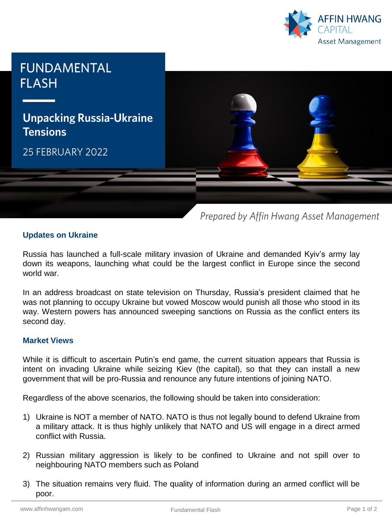



Prepared by Affin Hwang Asset Management

# **Updates on Ukraine**

Russia has launched a full-scale military invasion of Ukraine and demanded Kyiv's army lay down its weapons, launching what could be the largest conflict in Europe since the second world war.

In an address broadcast on state television on Thursday, Russia's president claimed that he was not planning to occupy Ukraine but vowed Moscow would punish all those who stood in its way. Western powers has announced sweeping sanctions on Russia as the conflict enters its second day.

### **Market Views**

While it is difficult to ascertain Putin's end game, the current situation appears that Russia is intent on invading Ukraine while seizing Kiev (the capital), so that they can install a new government that will be pro-Russia and renounce any future intentions of joining NATO.

Regardless of the above scenarios, the following should be taken into consideration:

- 1) Ukraine is NOT a member of NATO. NATO is thus not legally bound to defend Ukraine from a military attack. It is thus highly unlikely that NATO and US will engage in a direct armed conflict with Russia.
- 2) Russian military aggression is likely to be confined to Ukraine and not spill over to neighbouring NATO members such as Poland
- 3) The situation remains very fluid. The quality of information during an armed conflict will be poor.